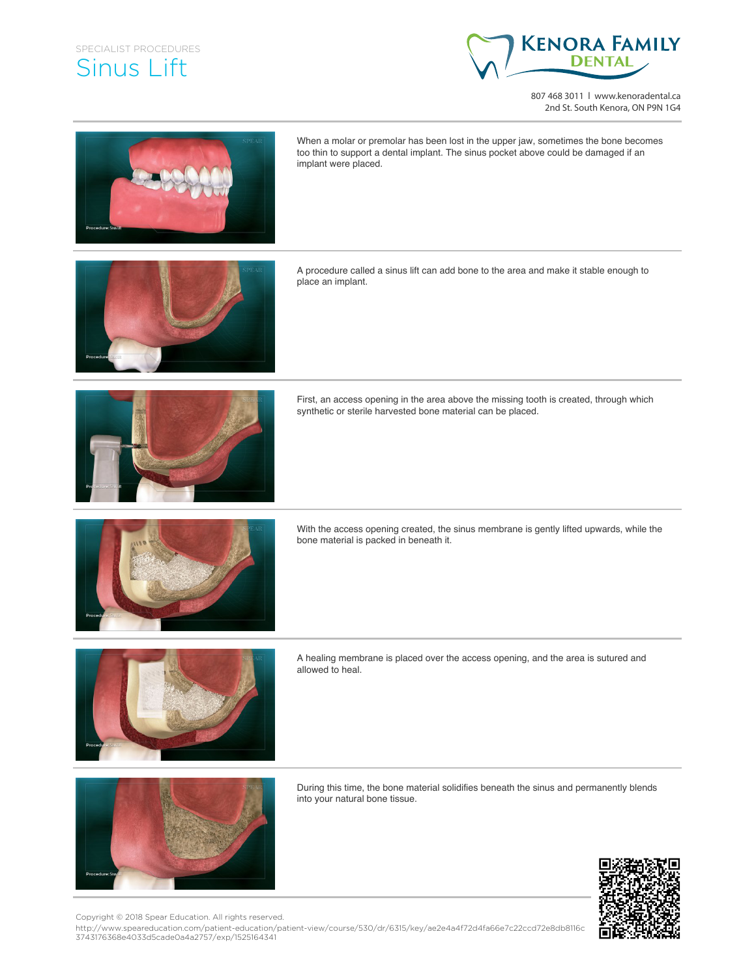## SPECIALIST PROCEDURES Sinus Lift



807 468 3011 | www.kenoradental.ca 2nd St. South Kenora, ON P9N 1G4



When a molar or premolar has been lost in the upper jaw, sometimes the bone becomes too thin to support a dental implant. The sinus pocket above could be damaged if an implant were placed.



A procedure called a sinus lift can add bone to the area and make it stable enough to place an implant.



First, an access opening in the area above the missing tooth is created, through which synthetic or sterile harvested bone material can be placed.



With the access opening created, the sinus membrane is gently lifted upwards, while the bone material is packed in beneath it.



A healing membrane is placed over the access opening, and the area is sutured and allowed to heal.



During this time, the bone material solidifies beneath the sinus and permanently blends into your natural bone tissue.



Copyright © 2018 Spear Education. All rights reserved.

http://www.speareducation.com/patient-education/patient-view/course/530/dr/6315/key/ae2e4a4f72d4fa66e7c22ccd72e8db8116c 3743176368e4033d5cade0a4a2757/exp/1525164341